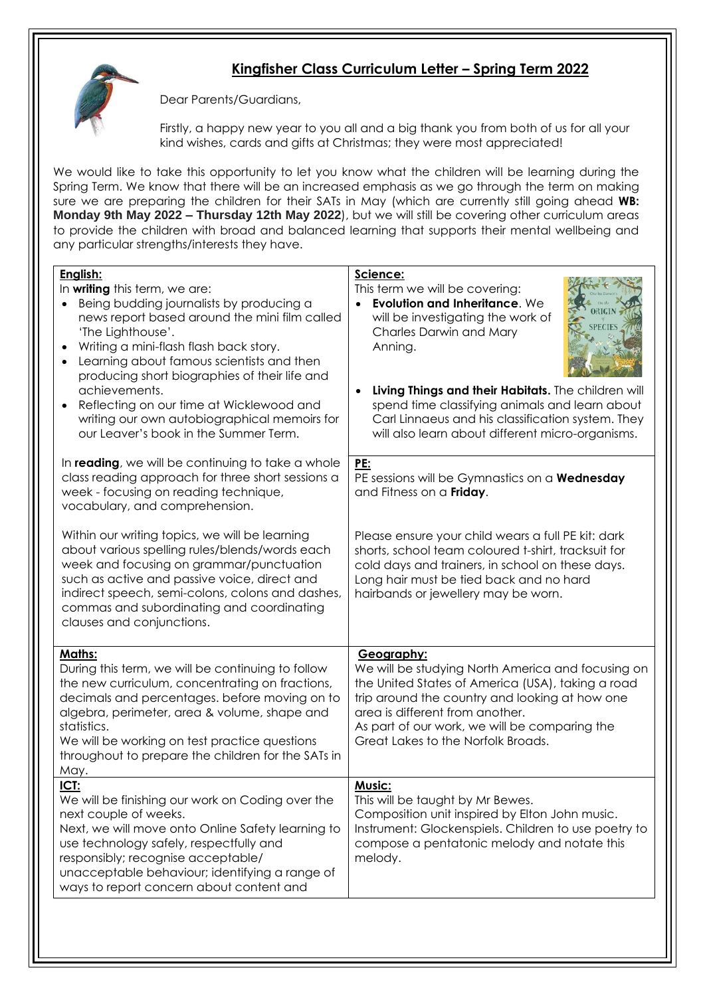## **Kingfisher Class Curriculum Letter – Spring Term 2022**



Dear Parents/Guardians,

Firstly, a happy new year to you all and a big thank you from both of us for all your kind wishes, cards and gifts at Christmas; they were most appreciated!

We would like to take this opportunity to let you know what the children will be learning during the Spring Term. We know that there will be an increased emphasis as we go through the term on making sure we are preparing the children for their SATs in May (which are currently still going ahead **WB: Monday 9th May 2022 – Thursday 12th May 2022**), but we will still be covering other curriculum areas to provide the children with broad and balanced learning that supports their mental wellbeing and any particular strengths/interests they have.

| English:<br>In writing this term, we are:<br>Being budding journalists by producing a<br>news report based around the mini film called<br>'The Lighthouse'.<br>Writing a mini-flash flash back story.<br>Learning about famous scientists and then<br>producing short biographies of their life and<br>achievements.<br>Reflecting on our time at Wicklewood and<br>$\bullet$<br>writing our own autobiographical memoirs for<br>our Leaver's book in the Summer Term.<br>In reading, we will be continuing to take a whole | Science:<br>This term we will be covering:<br>Evolution and Inheritance. We<br>will be investigating the work of<br>Charles Darwin and Mary<br>Anning.<br>Living Things and their Habitats. The children will<br>spend time classifying animals and learn about<br>Carl Linnaeus and his classification system. They<br>will also learn about different micro-organisms.<br>PE: |
|-----------------------------------------------------------------------------------------------------------------------------------------------------------------------------------------------------------------------------------------------------------------------------------------------------------------------------------------------------------------------------------------------------------------------------------------------------------------------------------------------------------------------------|---------------------------------------------------------------------------------------------------------------------------------------------------------------------------------------------------------------------------------------------------------------------------------------------------------------------------------------------------------------------------------|
| class reading approach for three short sessions a<br>week - focusing on reading technique,<br>vocabulary, and comprehension.                                                                                                                                                                                                                                                                                                                                                                                                | PE sessions will be Gymnastics on a <b>Wednesday</b><br>and Fitness on a Friday.                                                                                                                                                                                                                                                                                                |
| Within our writing topics, we will be learning<br>about various spelling rules/blends/words each<br>week and focusing on grammar/punctuation<br>such as active and passive voice, direct and<br>indirect speech, semi-colons, colons and dashes,<br>commas and subordinating and coordinating<br>clauses and conjunctions.                                                                                                                                                                                                  | Please ensure your child wears a full PE kit: dark<br>shorts, school team coloured t-shirt, tracksuit for<br>cold days and trainers, in school on these days.<br>Long hair must be tied back and no hard<br>hairbands or jewellery may be worn.                                                                                                                                 |
| Maths:<br>During this term, we will be continuing to follow<br>the new curriculum, concentrating on fractions,<br>decimals and percentages. before moving on to<br>algebra, perimeter, area & volume, shape and<br>statistics.<br>We will be working on test practice questions<br>throughout to prepare the children for the SATs in<br>May.                                                                                                                                                                               | Geography:<br>We will be studying North America and focusing on<br>the United States of America (USA), taking a road<br>trip around the country and looking at how one<br>area is different from another.<br>As part of our work, we will be comparing the<br>Great Lakes to the Norfolk Broads.                                                                                |
| ICT:<br>We will be finishing our work on Coding over the<br>next couple of weeks.<br>Next, we will move onto Online Safety learning to<br>use technology safely, respectfully and<br>responsibly; recognise acceptable/<br>unacceptable behaviour; identifying a range of<br>ways to report concern about content and                                                                                                                                                                                                       | <u>Music:</u><br>This will be taught by Mr Bewes.<br>Composition unit inspired by Elton John music.<br>Instrument: Glockenspiels. Children to use poetry to<br>compose a pentatonic melody and notate this<br>melody.                                                                                                                                                           |